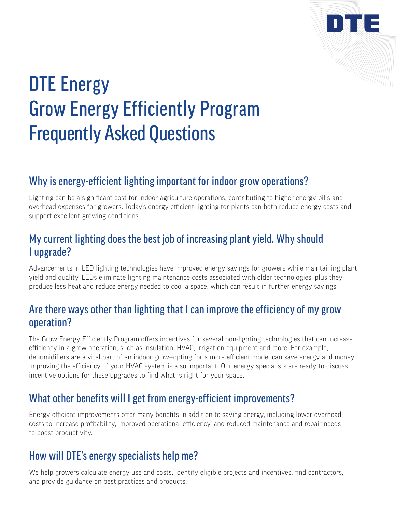

# DTE Energy Grow Energy Efficiently Program Frequently Asked Questions

# Why is energy-efficient lighting important for indoor grow operations?

Lighting can be a significant cost for indoor agriculture operations, contributing to higher energy bills and overhead expenses for growers. Today's energy-efficient lighting for plants can both reduce energy costs and support excellent growing conditions.

#### My current lighting does the best job of increasing plant yield. Why should I upgrade?

Advancements in LED lighting technologies have improved energy savings for growers while maintaining plant yield and quality. LEDs eliminate lighting maintenance costs associated with older technologies, plus they produce less heat and reduce energy needed to cool a space, which can result in further energy savings.

#### Are there ways other than lighting that I can improve the efficiency of my grow operation?

The Grow Energy Efficiently Program offers incentives for several non-lighting technologies that can increase efficiency in a grow operation, such as insulation, HVAC, irrigation equipment and more. For example, dehumidifiers are a vital part of an indoor grow—opting for a more efficient model can save energy and money. Improving the efficiency of your HVAC system is also important. Our energy specialists are ready to discuss incentive options for these upgrades to find what is right for your space.

# What other benefits will I get from energy-efficient improvements?

Energy-efficient improvements offer many benefits in addition to saving energy, including lower overhead costs to increase profitability, improved operational efficiency, and reduced maintenance and repair needs to boost productivity.

#### How will DTE's energy specialists help me?

We help growers calculate energy use and costs, identify eligible projects and incentives, find contractors, and provide guidance on best practices and products.